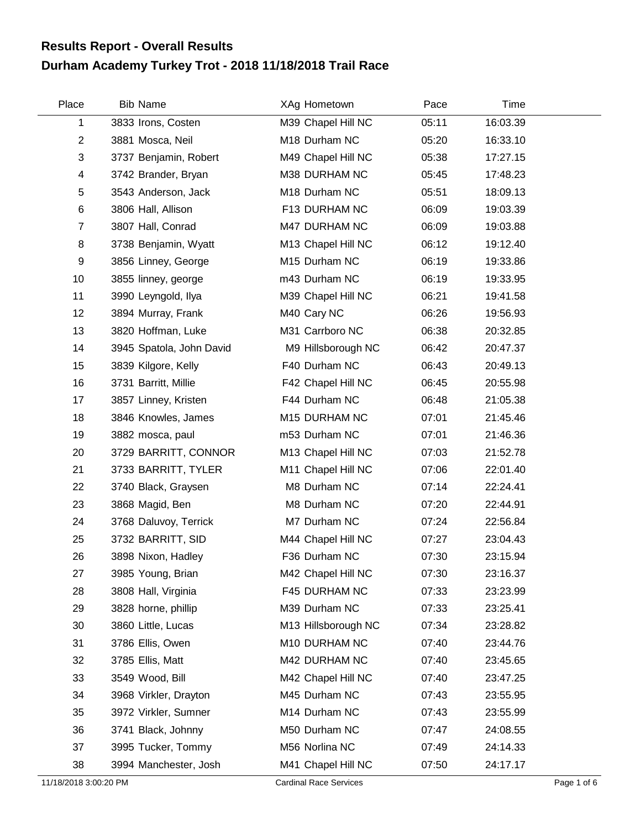## **Durham Academy Turkey Trot - 2018 11/18/2018 Trail Race Results Report - Overall Results**

| Place          | <b>Bib Name</b>          | XAg Hometown        | Pace  | Time     |  |
|----------------|--------------------------|---------------------|-------|----------|--|
| 1              | 3833 Irons, Costen       | M39 Chapel Hill NC  | 05:11 | 16:03.39 |  |
| $\overline{2}$ | 3881 Mosca, Neil         | M18 Durham NC       | 05:20 | 16:33.10 |  |
| 3              | 3737 Benjamin, Robert    | M49 Chapel Hill NC  | 05:38 | 17:27.15 |  |
| 4              | 3742 Brander, Bryan      | M38 DURHAM NC       | 05:45 | 17:48.23 |  |
| 5              | 3543 Anderson, Jack      | M18 Durham NC       | 05:51 | 18:09.13 |  |
| 6              | 3806 Hall, Allison       | F13 DURHAM NC       | 06:09 | 19:03.39 |  |
| $\overline{7}$ | 3807 Hall, Conrad        | M47 DURHAM NC       | 06:09 | 19:03.88 |  |
| 8              | 3738 Benjamin, Wyatt     | M13 Chapel Hill NC  | 06:12 | 19:12.40 |  |
| 9              | 3856 Linney, George      | M15 Durham NC       | 06:19 | 19:33.86 |  |
| 10             | 3855 linney, george      | m43 Durham NC       | 06:19 | 19:33.95 |  |
| 11             | 3990 Leyngold, Ilya      | M39 Chapel Hill NC  | 06:21 | 19:41.58 |  |
| 12             | 3894 Murray, Frank       | M40 Cary NC         | 06:26 | 19:56.93 |  |
| 13             | 3820 Hoffman, Luke       | M31 Carrboro NC     | 06:38 | 20:32.85 |  |
| 14             | 3945 Spatola, John David | M9 Hillsborough NC  | 06:42 | 20:47.37 |  |
| 15             | 3839 Kilgore, Kelly      | F40 Durham NC       | 06:43 | 20:49.13 |  |
| 16             | 3731 Barritt, Millie     | F42 Chapel Hill NC  | 06:45 | 20:55.98 |  |
| 17             | 3857 Linney, Kristen     | F44 Durham NC       | 06:48 | 21:05.38 |  |
| 18             | 3846 Knowles, James      | M15 DURHAM NC       | 07:01 | 21:45.46 |  |
| 19             | 3882 mosca, paul         | m53 Durham NC       | 07:01 | 21:46.36 |  |
| 20             | 3729 BARRITT, CONNOR     | M13 Chapel Hill NC  | 07:03 | 21:52.78 |  |
| 21             | 3733 BARRITT, TYLER      | M11 Chapel Hill NC  | 07:06 | 22:01.40 |  |
| 22             | 3740 Black, Graysen      | M8 Durham NC        | 07:14 | 22:24.41 |  |
| 23             | 3868 Magid, Ben          | M8 Durham NC        | 07:20 | 22:44.91 |  |
| 24             | 3768 Daluvoy, Terrick    | M7 Durham NC        | 07:24 | 22:56.84 |  |
| 25             | 3732 BARRITT, SID        | M44 Chapel Hill NC  | 07:27 | 23:04.43 |  |
| 26             | 3898 Nixon, Hadley       | F36 Durham NC       | 07:30 | 23:15.94 |  |
| 27             | 3985 Young, Brian        | M42 Chapel Hill NC  | 07:30 | 23:16.37 |  |
| 28             | 3808 Hall, Virginia      | F45 DURHAM NC       | 07:33 | 23:23.99 |  |
| 29             | 3828 horne, phillip      | M39 Durham NC       | 07:33 | 23:25.41 |  |
| 30             | 3860 Little, Lucas       | M13 Hillsborough NC | 07:34 | 23:28.82 |  |
| 31             | 3786 Ellis, Owen         | M10 DURHAM NC       | 07:40 | 23:44.76 |  |
| 32             | 3785 Ellis, Matt         | M42 DURHAM NC       | 07:40 | 23:45.65 |  |
| 33             | 3549 Wood, Bill          | M42 Chapel Hill NC  | 07:40 | 23:47.25 |  |
| 34             | 3968 Virkler, Drayton    | M45 Durham NC       | 07:43 | 23:55.95 |  |
| 35             | 3972 Virkler, Sumner     | M14 Durham NC       | 07:43 | 23:55.99 |  |
| 36             | 3741 Black, Johnny       | M50 Durham NC       | 07:47 | 24:08.55 |  |
| 37             | 3995 Tucker, Tommy       | M56 Norlina NC      | 07:49 | 24:14.33 |  |
| 38             | 3994 Manchester, Josh    | M41 Chapel Hill NC  | 07:50 | 24:17.17 |  |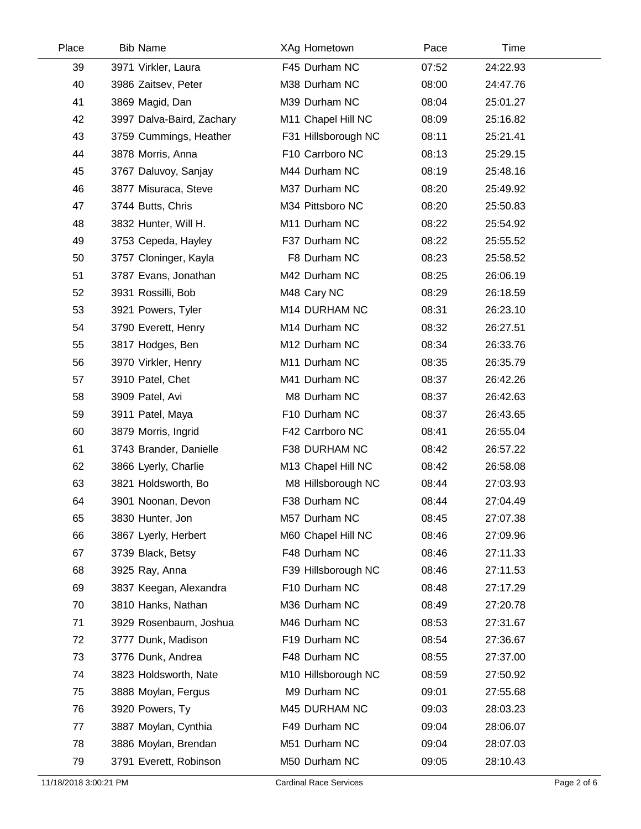| Place | <b>Bib Name</b>           | XAg Hometown        | Pace  | Time     |  |
|-------|---------------------------|---------------------|-------|----------|--|
| 39    | 3971 Virkler, Laura       | F45 Durham NC       | 07:52 | 24:22.93 |  |
| 40    | 3986 Zaitsev, Peter       | M38 Durham NC       | 08:00 | 24:47.76 |  |
| 41    | 3869 Magid, Dan           | M39 Durham NC       | 08:04 | 25:01.27 |  |
| 42    | 3997 Dalva-Baird, Zachary | M11 Chapel Hill NC  | 08:09 | 25:16.82 |  |
| 43    | 3759 Cummings, Heather    | F31 Hillsborough NC | 08:11 | 25:21.41 |  |
| 44    | 3878 Morris, Anna         | F10 Carrboro NC     | 08:13 | 25:29.15 |  |
| 45    | 3767 Daluvoy, Sanjay      | M44 Durham NC       | 08:19 | 25:48.16 |  |
| 46    | 3877 Misuraca, Steve      | M37 Durham NC       | 08:20 | 25:49.92 |  |
| 47    | 3744 Butts, Chris         | M34 Pittsboro NC    | 08:20 | 25:50.83 |  |
| 48    | 3832 Hunter, Will H.      | M11 Durham NC       | 08:22 | 25:54.92 |  |
| 49    | 3753 Cepeda, Hayley       | F37 Durham NC       | 08:22 | 25:55.52 |  |
| 50    | 3757 Cloninger, Kayla     | F8 Durham NC        | 08:23 | 25:58.52 |  |
| 51    | 3787 Evans, Jonathan      | M42 Durham NC       | 08:25 | 26:06.19 |  |
| 52    | 3931 Rossilli, Bob        | M48 Cary NC         | 08:29 | 26:18.59 |  |
| 53    | 3921 Powers, Tyler        | M14 DURHAM NC       | 08:31 | 26:23.10 |  |
| 54    | 3790 Everett, Henry       | M14 Durham NC       | 08:32 | 26:27.51 |  |
| 55    | 3817 Hodges, Ben          | M12 Durham NC       | 08:34 | 26:33.76 |  |
| 56    | 3970 Virkler, Henry       | M11 Durham NC       | 08:35 | 26:35.79 |  |
| 57    | 3910 Patel, Chet          | M41 Durham NC       | 08:37 | 26:42.26 |  |
| 58    | 3909 Patel, Avi           | M8 Durham NC        | 08:37 | 26:42.63 |  |
| 59    | 3911 Patel, Maya          | F10 Durham NC       | 08:37 | 26:43.65 |  |
| 60    | 3879 Morris, Ingrid       | F42 Carrboro NC     | 08:41 | 26:55.04 |  |
| 61    | 3743 Brander, Danielle    | F38 DURHAM NC       | 08:42 | 26:57.22 |  |
| 62    | 3866 Lyerly, Charlie      | M13 Chapel Hill NC  | 08:42 | 26:58.08 |  |
| 63    | 3821 Holdsworth, Bo       | M8 Hillsborough NC  | 08:44 | 27:03.93 |  |
| 64    | 3901 Noonan, Devon        | F38 Durham NC       | 08:44 | 27:04.49 |  |
| 65    | 3830 Hunter, Jon          | M57 Durham NC       | 08:45 | 27:07.38 |  |
| 66    | 3867 Lyerly, Herbert      | M60 Chapel Hill NC  | 08:46 | 27:09.96 |  |
| 67    | 3739 Black, Betsy         | F48 Durham NC       | 08:46 | 27:11.33 |  |
| 68    | 3925 Ray, Anna            | F39 Hillsborough NC | 08:46 | 27:11.53 |  |
| 69    | 3837 Keegan, Alexandra    | F10 Durham NC       | 08:48 | 27:17.29 |  |
| 70    | 3810 Hanks, Nathan        | M36 Durham NC       | 08:49 | 27:20.78 |  |
| 71    | 3929 Rosenbaum, Joshua    | M46 Durham NC       | 08:53 | 27:31.67 |  |
| 72    | 3777 Dunk, Madison        | F19 Durham NC       | 08:54 | 27:36.67 |  |
| 73    | 3776 Dunk, Andrea         | F48 Durham NC       | 08:55 | 27:37.00 |  |
| 74    | 3823 Holdsworth, Nate     | M10 Hillsborough NC | 08:59 | 27:50.92 |  |
| 75    | 3888 Moylan, Fergus       | M9 Durham NC        | 09:01 | 27:55.68 |  |
| 76    | 3920 Powers, Ty           | M45 DURHAM NC       | 09:03 | 28:03.23 |  |
| 77    | 3887 Moylan, Cynthia      | F49 Durham NC       | 09:04 | 28:06.07 |  |
| 78    | 3886 Moylan, Brendan      | M51 Durham NC       | 09:04 | 28:07.03 |  |
| 79    | 3791 Everett, Robinson    | M50 Durham NC       | 09:05 | 28:10.43 |  |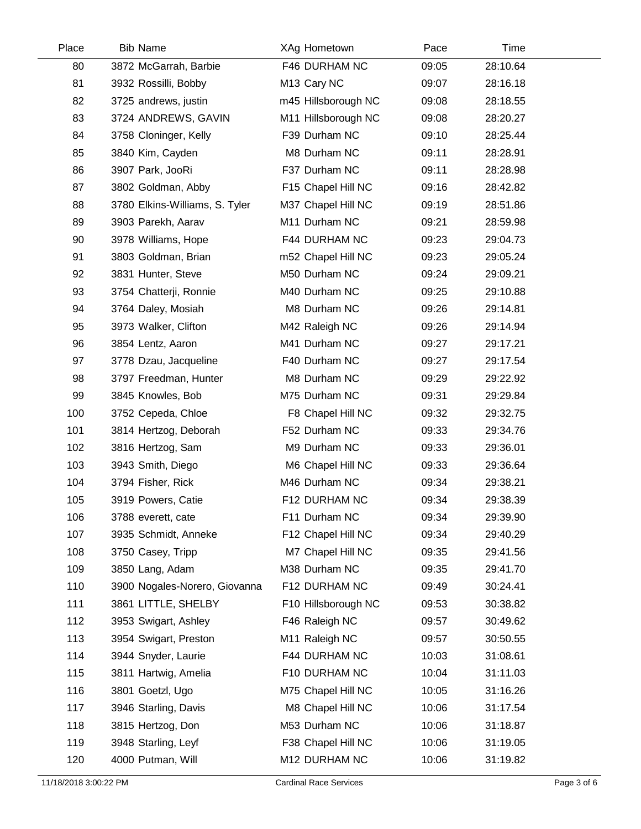| <b>Bib Name</b>                | XAg Hometown            | Pace  | Time     |  |
|--------------------------------|-------------------------|-------|----------|--|
| 3872 McGarrah, Barbie          | F46 DURHAM NC           | 09:05 | 28:10.64 |  |
| 3932 Rossilli, Bobby           | M <sub>13</sub> Cary NC | 09:07 | 28:16.18 |  |
| 3725 andrews, justin           | m45 Hillsborough NC     | 09:08 | 28:18.55 |  |
| 3724 ANDREWS, GAVIN            | M11 Hillsborough NC     | 09:08 | 28:20.27 |  |
| 3758 Cloninger, Kelly          | F39 Durham NC           | 09:10 | 28:25.44 |  |
| 3840 Kim, Cayden               | M8 Durham NC            | 09:11 | 28:28.91 |  |
| 3907 Park, JooRi               | F37 Durham NC           | 09:11 | 28:28.98 |  |
| 3802 Goldman, Abby             | F15 Chapel Hill NC      | 09:16 | 28:42.82 |  |
| 3780 Elkins-Williams, S. Tyler | M37 Chapel Hill NC      | 09:19 | 28:51.86 |  |
| 3903 Parekh, Aarav             | M11 Durham NC           | 09:21 | 28:59.98 |  |
| 3978 Williams, Hope            | F44 DURHAM NC           | 09:23 | 29:04.73 |  |
| 3803 Goldman, Brian            | m52 Chapel Hill NC      | 09:23 | 29:05.24 |  |
| 3831 Hunter, Steve             | M50 Durham NC           | 09:24 | 29:09.21 |  |
| 3754 Chatterji, Ronnie         | M40 Durham NC           | 09:25 | 29:10.88 |  |
| 3764 Daley, Mosiah             | M8 Durham NC            | 09:26 | 29:14.81 |  |
| 3973 Walker, Clifton           | M42 Raleigh NC          | 09:26 | 29:14.94 |  |
| 3854 Lentz, Aaron              | M41 Durham NC           | 09:27 | 29:17.21 |  |
| 3778 Dzau, Jacqueline          | F40 Durham NC           | 09:27 | 29:17.54 |  |
| 3797 Freedman, Hunter          | M8 Durham NC            | 09:29 | 29:22.92 |  |
| 3845 Knowles, Bob              | M75 Durham NC           | 09:31 | 29:29.84 |  |
| 3752 Cepeda, Chloe             | F8 Chapel Hill NC       | 09:32 | 29:32.75 |  |
| 3814 Hertzog, Deborah          | F52 Durham NC           | 09:33 | 29:34.76 |  |
| 3816 Hertzog, Sam              | M9 Durham NC            | 09:33 | 29:36.01 |  |
| 3943 Smith, Diego              | M6 Chapel Hill NC       | 09:33 | 29:36.64 |  |
| 3794 Fisher, Rick              | M46 Durham NC           | 09:34 | 29:38.21 |  |
| 3919 Powers, Catie             | F12 DURHAM NC           | 09:34 | 29:38.39 |  |
| 3788 everett, cate             | F11 Durham NC           | 09:34 | 29:39.90 |  |
| 3935 Schmidt, Anneke           | F12 Chapel Hill NC      | 09:34 | 29:40.29 |  |
| 3750 Casey, Tripp              | M7 Chapel Hill NC       | 09:35 | 29:41.56 |  |
| 3850 Lang, Adam                | M38 Durham NC           | 09:35 | 29:41.70 |  |
| 3900 Nogales-Norero, Giovanna  | F12 DURHAM NC           | 09:49 | 30:24.41 |  |
| 3861 LITTLE, SHELBY            | F10 Hillsborough NC     | 09:53 | 30:38.82 |  |
| 3953 Swigart, Ashley           | F46 Raleigh NC          | 09:57 | 30:49.62 |  |
| 3954 Swigart, Preston          | M11 Raleigh NC          | 09:57 | 30:50.55 |  |
| 3944 Snyder, Laurie            | F44 DURHAM NC           | 10:03 | 31:08.61 |  |
| 3811 Hartwig, Amelia           | F10 DURHAM NC           | 10:04 | 31:11.03 |  |
| 3801 Goetzl, Ugo               | M75 Chapel Hill NC      | 10:05 | 31:16.26 |  |
| 3946 Starling, Davis           | M8 Chapel Hill NC       | 10:06 | 31:17.54 |  |
| 3815 Hertzog, Don              | M53 Durham NC           | 10:06 | 31:18.87 |  |
| 3948 Starling, Leyf            | F38 Chapel Hill NC      | 10:06 | 31:19.05 |  |
| 4000 Putman, Will              | M12 DURHAM NC           | 10:06 | 31:19.82 |  |
|                                |                         |       |          |  |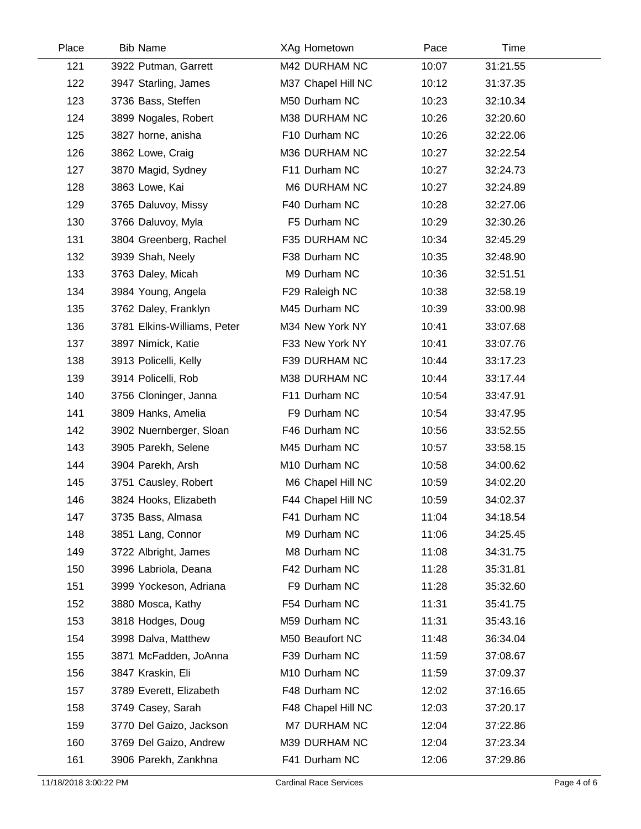| Place | <b>Bib Name</b>             | XAg Hometown       | Pace  | Time     |  |
|-------|-----------------------------|--------------------|-------|----------|--|
| 121   | 3922 Putman, Garrett        | M42 DURHAM NC      | 10:07 | 31:21.55 |  |
| 122   | 3947 Starling, James        | M37 Chapel Hill NC | 10:12 | 31:37.35 |  |
| 123   | 3736 Bass, Steffen          | M50 Durham NC      | 10:23 | 32:10.34 |  |
| 124   | 3899 Nogales, Robert        | M38 DURHAM NC      | 10:26 | 32:20.60 |  |
| 125   | 3827 horne, anisha          | F10 Durham NC      | 10:26 | 32:22.06 |  |
| 126   | 3862 Lowe, Craig            | M36 DURHAM NC      | 10:27 | 32:22.54 |  |
| 127   | 3870 Magid, Sydney          | F11 Durham NC      | 10:27 | 32:24.73 |  |
| 128   | 3863 Lowe, Kai              | M6 DURHAM NC       | 10:27 | 32:24.89 |  |
| 129   | 3765 Daluvoy, Missy         | F40 Durham NC      | 10:28 | 32:27.06 |  |
| 130   | 3766 Daluvoy, Myla          | F5 Durham NC       | 10:29 | 32:30.26 |  |
| 131   | 3804 Greenberg, Rachel      | F35 DURHAM NC      | 10:34 | 32:45.29 |  |
| 132   | 3939 Shah, Neely            | F38 Durham NC      | 10:35 | 32:48.90 |  |
| 133   | 3763 Daley, Micah           | M9 Durham NC       | 10:36 | 32:51.51 |  |
| 134   | 3984 Young, Angela          | F29 Raleigh NC     | 10:38 | 32:58.19 |  |
| 135   | 3762 Daley, Franklyn        | M45 Durham NC      | 10:39 | 33:00.98 |  |
| 136   | 3781 Elkins-Williams, Peter | M34 New York NY    | 10:41 | 33:07.68 |  |
| 137   | 3897 Nimick, Katie          | F33 New York NY    | 10:41 | 33:07.76 |  |
| 138   | 3913 Policelli, Kelly       | F39 DURHAM NC      | 10:44 | 33:17.23 |  |
| 139   | 3914 Policelli, Rob         | M38 DURHAM NC      | 10:44 | 33:17.44 |  |
| 140   | 3756 Cloninger, Janna       | F11 Durham NC      | 10:54 | 33:47.91 |  |
| 141   | 3809 Hanks, Amelia          | F9 Durham NC       | 10:54 | 33:47.95 |  |
| 142   | 3902 Nuernberger, Sloan     | F46 Durham NC      | 10:56 | 33:52.55 |  |
| 143   | 3905 Parekh, Selene         | M45 Durham NC      | 10:57 | 33:58.15 |  |
| 144   | 3904 Parekh, Arsh           | M10 Durham NC      | 10:58 | 34:00.62 |  |
| 145   | 3751 Causley, Robert        | M6 Chapel Hill NC  | 10:59 | 34:02.20 |  |
| 146   | 3824 Hooks, Elizabeth       | F44 Chapel Hill NC | 10:59 | 34:02.37 |  |
| 147   | 3735 Bass, Almasa           | F41 Durham NC      | 11:04 | 34:18.54 |  |
| 148   | 3851 Lang, Connor           | M9 Durham NC       | 11:06 | 34:25.45 |  |
| 149   | 3722 Albright, James        | M8 Durham NC       | 11:08 | 34:31.75 |  |
| 150   | 3996 Labriola, Deana        | F42 Durham NC      | 11:28 | 35:31.81 |  |
| 151   | 3999 Yockeson, Adriana      | F9 Durham NC       | 11:28 | 35:32.60 |  |
| 152   | 3880 Mosca, Kathy           | F54 Durham NC      | 11:31 | 35:41.75 |  |
| 153   | 3818 Hodges, Doug           | M59 Durham NC      | 11:31 | 35:43.16 |  |
| 154   | 3998 Dalva, Matthew         | M50 Beaufort NC    | 11:48 | 36:34.04 |  |
| 155   | 3871 McFadden, JoAnna       | F39 Durham NC      | 11:59 | 37:08.67 |  |
| 156   | 3847 Kraskin, Eli           | M10 Durham NC      | 11:59 | 37:09.37 |  |
| 157   | 3789 Everett, Elizabeth     | F48 Durham NC      | 12:02 | 37:16.65 |  |
| 158   | 3749 Casey, Sarah           | F48 Chapel Hill NC | 12:03 | 37:20.17 |  |
| 159   | 3770 Del Gaizo, Jackson     | M7 DURHAM NC       | 12:04 | 37:22.86 |  |
| 160   | 3769 Del Gaizo, Andrew      | M39 DURHAM NC      | 12:04 | 37:23.34 |  |
| 161   | 3906 Parekh, Zankhna        | F41 Durham NC      | 12:06 | 37:29.86 |  |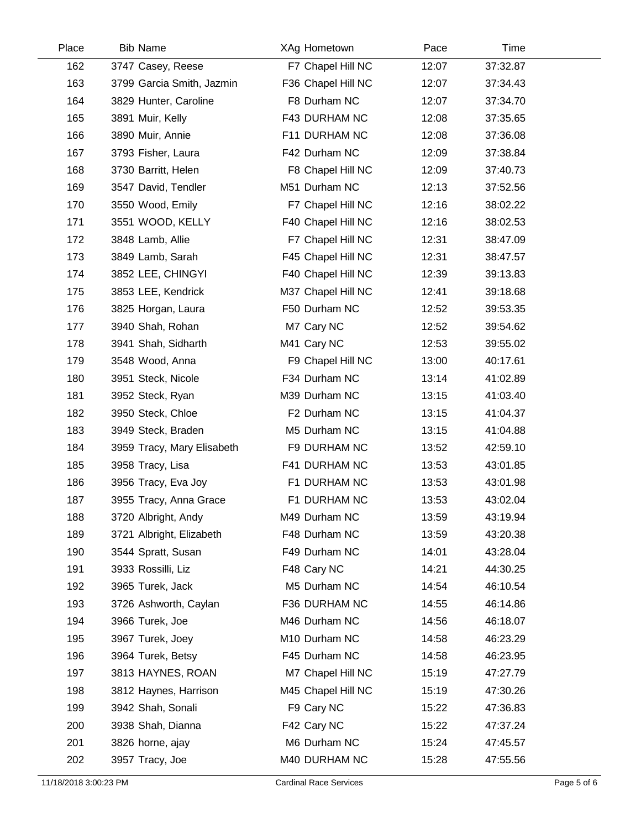| Place | <b>Bib Name</b>            | XAg Hometown       | Pace  | Time     |  |
|-------|----------------------------|--------------------|-------|----------|--|
| 162   | 3747 Casey, Reese          | F7 Chapel Hill NC  | 12:07 | 37:32.87 |  |
| 163   | 3799 Garcia Smith, Jazmin  | F36 Chapel Hill NC | 12:07 | 37:34.43 |  |
| 164   | 3829 Hunter, Caroline      | F8 Durham NC       | 12:07 | 37:34.70 |  |
| 165   | 3891 Muir, Kelly           | F43 DURHAM NC      | 12:08 | 37:35.65 |  |
| 166   | 3890 Muir, Annie           | F11 DURHAM NC      | 12:08 | 37:36.08 |  |
| 167   | 3793 Fisher, Laura         | F42 Durham NC      | 12:09 | 37:38.84 |  |
| 168   | 3730 Barritt, Helen        | F8 Chapel Hill NC  | 12:09 | 37:40.73 |  |
| 169   | 3547 David, Tendler        | M51 Durham NC      | 12:13 | 37:52.56 |  |
| 170   | 3550 Wood, Emily           | F7 Chapel Hill NC  | 12:16 | 38:02.22 |  |
| 171   | 3551 WOOD, KELLY           | F40 Chapel Hill NC | 12:16 | 38:02.53 |  |
| 172   | 3848 Lamb, Allie           | F7 Chapel Hill NC  | 12:31 | 38:47.09 |  |
| 173   | 3849 Lamb, Sarah           | F45 Chapel Hill NC | 12:31 | 38:47.57 |  |
| 174   | 3852 LEE, CHINGYI          | F40 Chapel Hill NC | 12:39 | 39:13.83 |  |
| 175   | 3853 LEE, Kendrick         | M37 Chapel Hill NC | 12:41 | 39:18.68 |  |
| 176   | 3825 Horgan, Laura         | F50 Durham NC      | 12:52 | 39:53.35 |  |
| 177   | 3940 Shah, Rohan           | M7 Cary NC         | 12:52 | 39:54.62 |  |
| 178   | 3941 Shah, Sidharth        | M41 Cary NC        | 12:53 | 39:55.02 |  |
| 179   | 3548 Wood, Anna            | F9 Chapel Hill NC  | 13:00 | 40:17.61 |  |
| 180   | 3951 Steck, Nicole         | F34 Durham NC      | 13:14 | 41:02.89 |  |
| 181   | 3952 Steck, Ryan           | M39 Durham NC      | 13:15 | 41:03.40 |  |
| 182   | 3950 Steck, Chloe          | F2 Durham NC       | 13:15 | 41:04.37 |  |
| 183   | 3949 Steck, Braden         | M5 Durham NC       | 13:15 | 41:04.88 |  |
| 184   | 3959 Tracy, Mary Elisabeth | F9 DURHAM NC       | 13:52 | 42:59.10 |  |
| 185   | 3958 Tracy, Lisa           | F41 DURHAM NC      | 13:53 | 43:01.85 |  |
| 186   | 3956 Tracy, Eva Joy        | F1 DURHAM NC       | 13:53 | 43:01.98 |  |
| 187   | 3955 Tracy, Anna Grace     | F1 DURHAM NC       | 13:53 | 43:02.04 |  |
| 188   | 3720 Albright, Andy        | M49 Durham NC      | 13:59 | 43:19.94 |  |
| 189   | 3721 Albright, Elizabeth   | F48 Durham NC      | 13:59 | 43:20.38 |  |
| 190   | 3544 Spratt, Susan         | F49 Durham NC      | 14:01 | 43:28.04 |  |
| 191   | 3933 Rossilli, Liz         | F48 Cary NC        | 14:21 | 44:30.25 |  |
| 192   | 3965 Turek, Jack           | M5 Durham NC       | 14:54 | 46:10.54 |  |
| 193   | 3726 Ashworth, Caylan      | F36 DURHAM NC      | 14:55 | 46:14.86 |  |
| 194   | 3966 Turek, Joe            | M46 Durham NC      | 14:56 | 46:18.07 |  |
| 195   | 3967 Turek, Joey           | M10 Durham NC      | 14:58 | 46:23.29 |  |
| 196   | 3964 Turek, Betsy          | F45 Durham NC      | 14:58 | 46:23.95 |  |
| 197   | 3813 HAYNES, ROAN          | M7 Chapel Hill NC  | 15:19 | 47:27.79 |  |
| 198   | 3812 Haynes, Harrison      | M45 Chapel Hill NC | 15:19 | 47:30.26 |  |
| 199   | 3942 Shah, Sonali          | F9 Cary NC         | 15:22 | 47:36.83 |  |
| 200   | 3938 Shah, Dianna          | F42 Cary NC        | 15:22 | 47:37.24 |  |
| 201   | 3826 horne, ajay           | M6 Durham NC       | 15:24 | 47:45.57 |  |
| 202   | 3957 Tracy, Joe            | M40 DURHAM NC      | 15:28 | 47:55.56 |  |